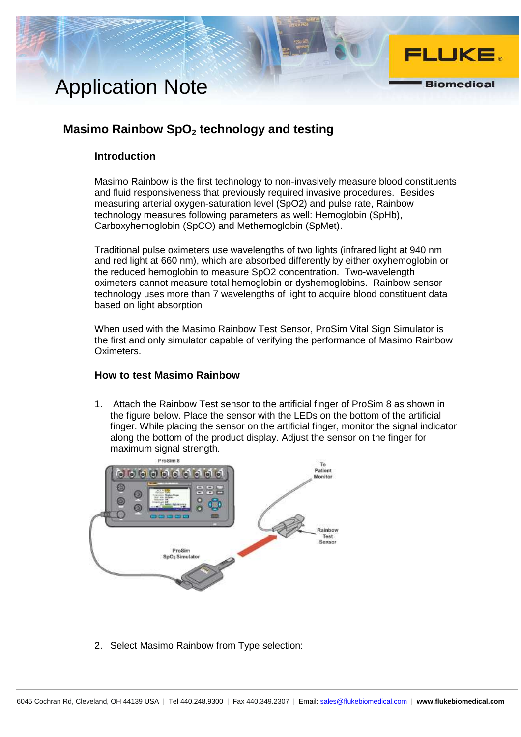# Application Note

### **Masimo Rainbow SpO2 technology and testing**

### **Introduction**

Masimo Rainbow is the first technology to non-invasively measure blood constituents and fluid responsiveness that previously required invasive procedures. Besides measuring arterial oxygen-saturation level (SpO2) and pulse rate, Rainbow technology measures following parameters as well: Hemoglobin (SpHb), Carboxyhemoglobin (SpCO) and Methemoglobin (SpMet).

FLUKE.

**Biomedical** 

Traditional pulse oximeters use wavelengths of two lights (infrared light at 940 nm and red light at 660 nm), which are absorbed differently by either oxyhemoglobin or the reduced hemoglobin to measure SpO2 concentration. Two-wavelength oximeters cannot measure total hemoglobin or dyshemoglobins. Rainbow sensor technology uses more than 7 wavelengths of light to acquire blood constituent data based on light absorption

When used with the Masimo Rainbow Test Sensor, ProSim Vital Sign Simulator is the first and only simulator capable of verifying the performance of Masimo Rainbow Oximeters.

#### **How to test Masimo Rainbow**

1. Attach the Rainbow Test sensor to the artificial finger of ProSim 8 as shown in the figure below. Place the sensor with the LEDs on the bottom of the artificial finger. While placing the sensor on the artificial finger, monitor the signal indicator along the bottom of the product display. Adjust the sensor on the finger for maximum signal strength.



2. Select Masimo Rainbow from Type selection: